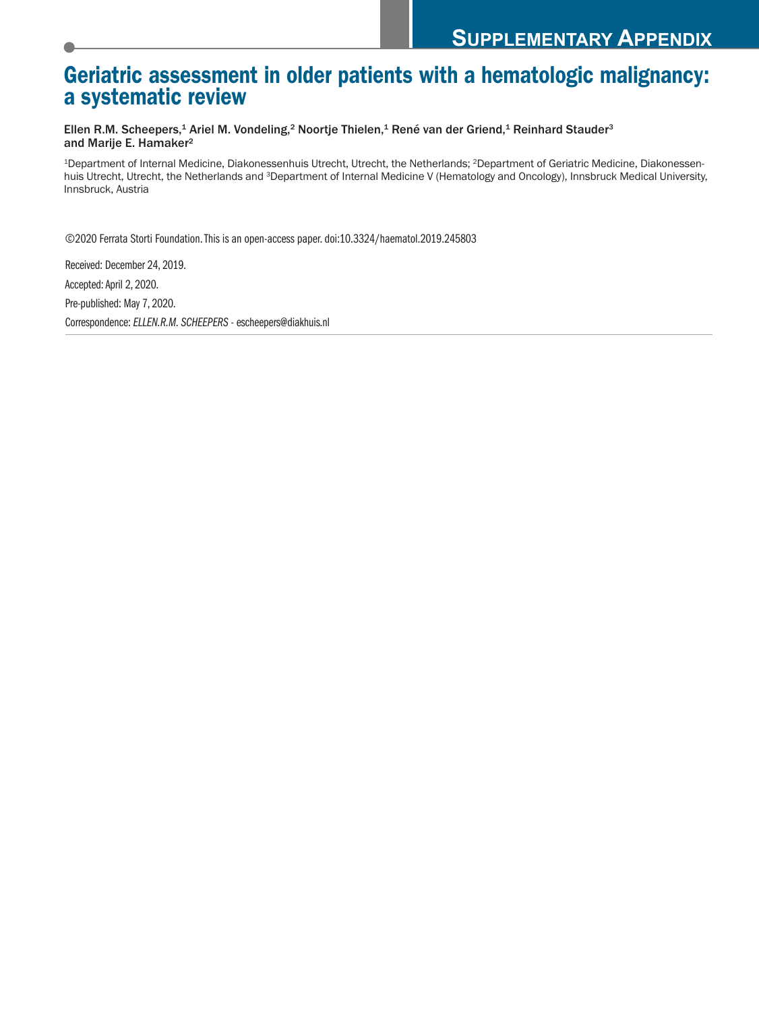# **Geriatric assessment in older patients with a hematologic malignancy: a systematic review**

Ellen R.M. Scheepers,<sup>1</sup> Ariel M. Vondeling,<sup>2</sup> Noortje Thielen,<sup>1</sup> René van der Griend,<sup>1</sup> Reinhard Stauder<sup>3</sup> and Marije E. Hamaker2

1Department of Internal Medicine, Diakonessenhuis Utrecht, Utrecht, the Netherlands; 2Department of Geriatric Medicine, Diakonessenhuis Utrecht, Utrecht, the Netherlands and <sup>3</sup>Department of Internal Medicine V (Hematology and Oncology), Innsbruck Medical University, Innsbruck, Austria

©2020 Ferrata Storti Foundation.This is an open-access paper. doi:10.3324/haematol.2019.245803

Received: December 24, 2019. Accepted:April 2, 2020. Pre-published: May 7, 2020. Correspondence:*ELLEN.R.M. SCHEEPERS* - escheepers@diakhuis.nl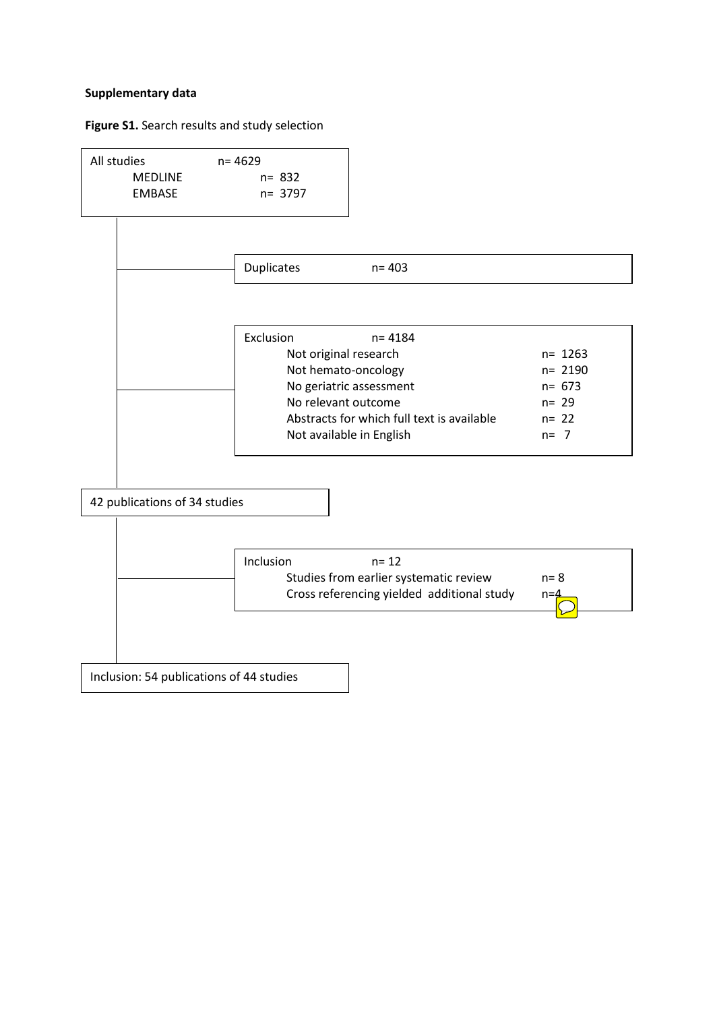### **Supplementary data**

### **Figure S1.** Search results and study selection

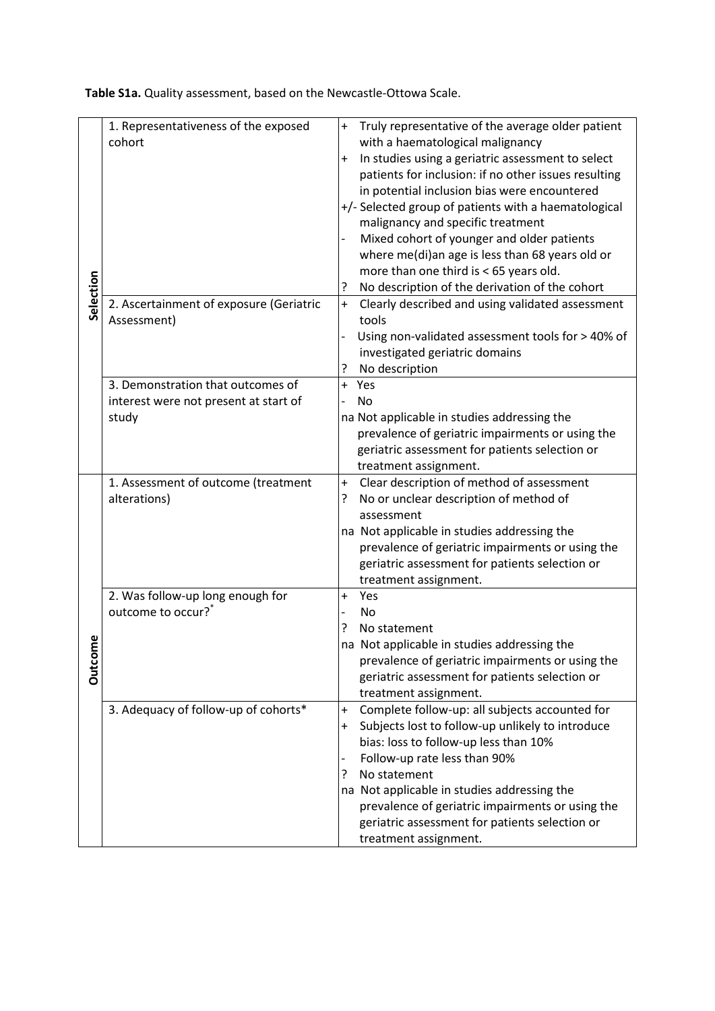**Table S1a.** Quality assessment, based on the Newcastle-Ottowa Scale.

|           | 1. Representativeness of the exposed<br>cohort | Truly representative of the average older patient<br>$\ddot{}$<br>with a haematological malignancy |  |  |  |  |
|-----------|------------------------------------------------|----------------------------------------------------------------------------------------------------|--|--|--|--|
|           |                                                | In studies using a geriatric assessment to select<br>$\ddot{}$                                     |  |  |  |  |
|           |                                                | patients for inclusion: if no other issues resulting                                               |  |  |  |  |
|           |                                                | in potential inclusion bias were encountered                                                       |  |  |  |  |
|           |                                                | +/- Selected group of patients with a haematological                                               |  |  |  |  |
|           |                                                | malignancy and specific treatment                                                                  |  |  |  |  |
|           |                                                | Mixed cohort of younger and older patients<br>$\overline{\phantom{0}}$                             |  |  |  |  |
| Selection |                                                | where me(di)an age is less than 68 years old or                                                    |  |  |  |  |
|           |                                                | more than one third is < 65 years old.                                                             |  |  |  |  |
|           |                                                | No description of the derivation of the cohort<br>ŗ                                                |  |  |  |  |
|           | 2. Ascertainment of exposure (Geriatric        | Clearly described and using validated assessment<br>$\ddot{}$                                      |  |  |  |  |
|           | Assessment)                                    | tools                                                                                              |  |  |  |  |
|           |                                                | Using non-validated assessment tools for > 40% of                                                  |  |  |  |  |
|           |                                                | investigated geriatric domains                                                                     |  |  |  |  |
|           |                                                | No description<br>?                                                                                |  |  |  |  |
|           | 3. Demonstration that outcomes of              | $+$<br>Yes                                                                                         |  |  |  |  |
|           | interest were not present at start of          | No                                                                                                 |  |  |  |  |
|           | study                                          | na Not applicable in studies addressing the                                                        |  |  |  |  |
|           |                                                | prevalence of geriatric impairments or using the                                                   |  |  |  |  |
|           |                                                | geriatric assessment for patients selection or                                                     |  |  |  |  |
|           |                                                | treatment assignment.                                                                              |  |  |  |  |
|           | 1. Assessment of outcome (treatment            | Clear description of method of assessment<br>$\ddot{}$                                             |  |  |  |  |
|           | alterations)                                   | No or unclear description of method of<br>?                                                        |  |  |  |  |
|           |                                                | assessment                                                                                         |  |  |  |  |
|           |                                                | na Not applicable in studies addressing the                                                        |  |  |  |  |
|           |                                                | prevalence of geriatric impairments or using the                                                   |  |  |  |  |
|           |                                                | geriatric assessment for patients selection or                                                     |  |  |  |  |
|           |                                                | treatment assignment.                                                                              |  |  |  |  |
|           | 2. Was follow-up long enough for               | Yes<br>$\ddot{}$                                                                                   |  |  |  |  |
|           | outcome to occur? <sup>*</sup>                 | No<br>$\overline{a}$                                                                               |  |  |  |  |
|           |                                                | ?<br>No statement                                                                                  |  |  |  |  |
| e<br>E    |                                                | na Not applicable in studies addressing the                                                        |  |  |  |  |
| Outcor    |                                                | prevalence of geriatric impairments or using the                                                   |  |  |  |  |
|           |                                                | geriatric assessment for patients selection or                                                     |  |  |  |  |
|           |                                                | treatment assignment.                                                                              |  |  |  |  |
|           | 3. Adequacy of follow-up of cohorts*           | Complete follow-up: all subjects accounted for<br>$\ddot{}$                                        |  |  |  |  |
|           |                                                | Subjects lost to follow-up unlikely to introduce<br>$+$                                            |  |  |  |  |
|           |                                                | bias: loss to follow-up less than 10%                                                              |  |  |  |  |
|           |                                                | Follow-up rate less than 90%<br>$\overline{\phantom{a}}$                                           |  |  |  |  |
|           |                                                | ?<br>No statement                                                                                  |  |  |  |  |
|           |                                                | na Not applicable in studies addressing the                                                        |  |  |  |  |
|           |                                                | prevalence of geriatric impairments or using the                                                   |  |  |  |  |
|           |                                                | geriatric assessment for patients selection or                                                     |  |  |  |  |
|           |                                                | treatment assignment.                                                                              |  |  |  |  |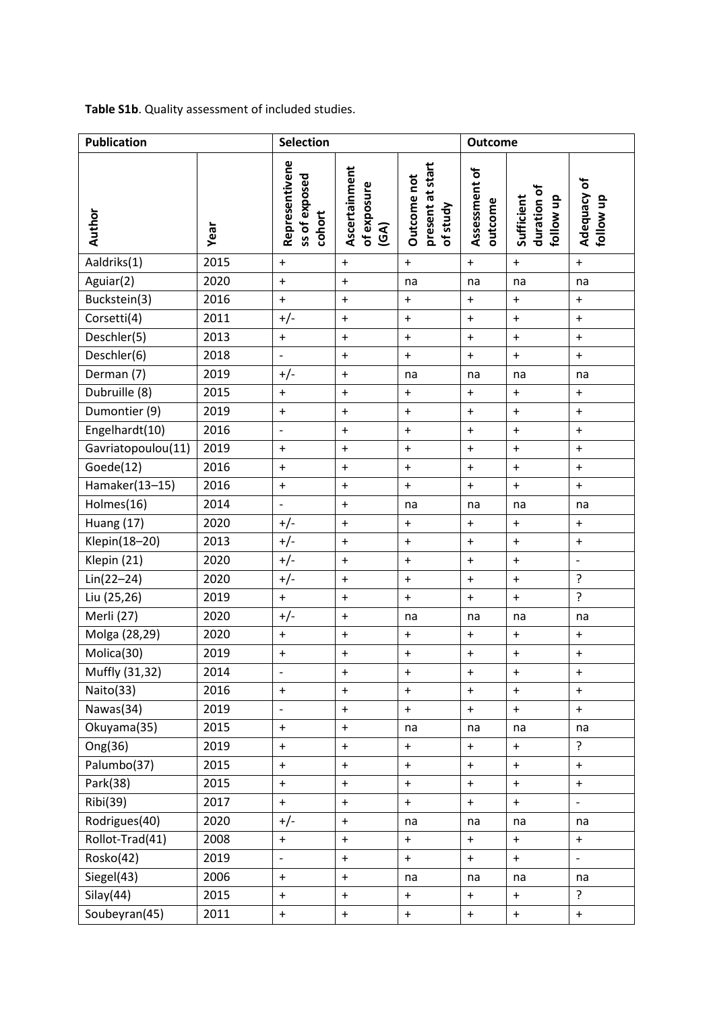| <b>Publication</b> | <b>Selection</b> |                                           |                                            | <b>Outcome</b>                              |                                  |                                        |                                  |
|--------------------|------------------|-------------------------------------------|--------------------------------------------|---------------------------------------------|----------------------------------|----------------------------------------|----------------------------------|
| Author             | Year             | Representivene<br>ss of exposed<br>cohort | Ascertainment<br>of exposure<br><b>GA)</b> | present at start<br>Outcome not<br>of study | Assessment of<br>outcome         | duration of<br>Sufficient<br>follow up | Adequacy of<br>follow up         |
| Aaldriks(1)        | 2015             | $\boldsymbol{+}$                          | $\begin{array}{c} + \end{array}$           | $\boldsymbol{+}$                            | $\ddot{}$                        | $\ddot{}$                              | $\ddot{}$                        |
| Aguiar(2)          | 2020             | $\ddot{}$                                 | $+$                                        | na                                          | na                               | na                                     | na                               |
| Buckstein(3)       | 2016             | $\ddot{}$                                 | $\begin{array}{c} + \end{array}$           | $\ddot{}$                                   | $\ddot{}$                        | $\begin{array}{c} + \end{array}$       | $\begin{array}{c} + \end{array}$ |
| Corsetti(4)        | 2011             | $+/-$                                     | $\begin{array}{c} + \end{array}$           | $\boldsymbol{+}$                            | $\ddot{}$                        | $\ddot{}$                              | $\begin{array}{c} + \end{array}$ |
| Deschler(5)        | 2013             | $\boldsymbol{+}$                          | $\ddot{}$                                  | $\boldsymbol{+}$                            | $\begin{array}{c} + \end{array}$ | $\ddot{}$                              | $\boldsymbol{+}$                 |
| Deschler(6)        | 2018             | $\overline{a}$                            | $\ddot{}$                                  | $\ddot{}$                                   | $\ddot{}$                        | $\ddot{}$                              | $\ddot{}$                        |
| Derman (7)         | 2019             | $+/-$                                     | $\ddot{}$                                  | na                                          | na                               | na                                     | na                               |
| Dubruille $(8)$    | 2015             | $\boldsymbol{+}$                          | $\ddot{}$                                  | $\boldsymbol{+}$                            | $\boldsymbol{+}$                 | $\begin{array}{c} + \end{array}$       | $\boldsymbol{+}$                 |
| Dumontier (9)      | 2019             | $\ddot{}$                                 | $\ddot{}$                                  | $\boldsymbol{+}$                            | $\boldsymbol{+}$                 | $\begin{array}{c} + \end{array}$       | $\begin{array}{c} + \end{array}$ |
| Engelhardt(10)     | 2016             | $\frac{1}{2}$                             | $\begin{array}{c} + \end{array}$           | $\boldsymbol{+}$                            | $\boldsymbol{+}$                 | $\begin{array}{c} + \end{array}$       | $\boldsymbol{+}$                 |
| Gavriatopoulou(11) | 2019             | $\boldsymbol{+}$                          | $\begin{array}{c} + \end{array}$           | $\begin{array}{c} + \end{array}$            | $\ddot{}$                        | $\ddot{}$                              | $\boldsymbol{+}$                 |
| Goede(12)          | 2016             | $\ddot{}$                                 | $\ddot{}$                                  | $\boldsymbol{+}$                            | $\ddot{}$                        | $\ddot{}$                              | $\ddot{}$                        |
| Hamaker(13-15)     | 2016             | $\ddot{}$                                 | $\ddot{}$                                  | $\ddot{}$                                   | $\ddot{}$                        | $\ddot{}$                              | $\ddot{}$                        |
| Holmes(16)         | 2014             | $\overline{\phantom{m}}$                  | $\begin{array}{c} + \end{array}$           | na                                          | na                               | na                                     | na                               |
| Huang (17)         | 2020             | $+/-$                                     | $\begin{array}{c} + \end{array}$           | $\boldsymbol{+}$                            | $\ddot{}$                        | $\begin{array}{c} + \end{array}$       | $\boldsymbol{+}$                 |
| Klepin(18-20)      | 2013             | $+/-$                                     | $+$                                        | $\ddot{}$                                   | $\boldsymbol{+}$                 | $\ddot{}$                              | $\boldsymbol{+}$                 |
| Klepin (21)        | 2020             | $+/-$                                     | $\boldsymbol{+}$                           | $\boldsymbol{+}$                            | $\boldsymbol{+}$                 | $\begin{array}{c} + \end{array}$       | $\overline{\phantom{a}}$         |
| $Lin(22-24)$       | 2020             | $+/-$                                     | $\ddot{}$                                  | $\ddot{}$                                   | $\ddot{}$                        | $\ddot{}$                              | ?                                |
| Liu (25,26)        | 2019             | $\ddot{}$                                 | $+$                                        | $\ddot{}$                                   | $\ddot{}$                        | $\begin{array}{c} + \end{array}$       | ?                                |
| Merli (27)         | 2020             | $+/-$                                     | $\ddot{}$                                  | na                                          | na                               | na                                     | na                               |
| Molga (28,29)      | 2020             | $\ddot{}$                                 | $\begin{array}{c} + \end{array}$           | $\boldsymbol{+}$                            | $+$                              | $\begin{array}{c} + \end{array}$       | $\begin{array}{c} + \end{array}$ |
| Molica(30)         | 2019             | $\boldsymbol{+}$                          | $\ddot{}$                                  | $\boldsymbol{+}$                            | $\boldsymbol{+}$                 | $\ddot{}$                              | $\begin{array}{c} + \end{array}$ |
| Muffly (31,32)     | 2014             |                                           | $\pmb{+}$                                  | $\ddot{}$                                   | $\ddot{}$                        | $\ddot{}$                              | $\ddot{}$                        |
| Naito(33)          | 2016             | $+$                                       | $\ddot{}$                                  | $\ddot{}$                                   | $\ddot{}$                        | $\ddot{}$                              | $+$                              |
| Nawas(34)          | 2019             | $\overline{\phantom{0}}$                  | $+$                                        | $\ddot{}$                                   | $\ddot{}$                        | $\begin{array}{c} + \end{array}$       | $+$                              |
| Okuyama(35)        | 2015             | $+$                                       | $+$                                        | na                                          | na                               | na                                     | na                               |
| Ong(36)            | 2019             | $+$                                       | $+$                                        | $\ddot{}$                                   | $\ddot{}$                        | $+$                                    | ?                                |
| Palumbo(37)        | 2015             | $\ddot{}$                                 | $\ddot{}$                                  | $\ddot{}$                                   | $\ddot{}$                        | $\begin{array}{c} + \end{array}$       | $\boldsymbol{+}$                 |
| Park(38)           | 2015             | $+$                                       | $\boldsymbol{+}$                           | $\boldsymbol{+}$                            | $\boldsymbol{+}$                 | $\boldsymbol{+}$                       | $\boldsymbol{+}$                 |
| Ribi(39)           | 2017             | $\ddot{}$                                 | $\ddot{}$                                  | $\boldsymbol{+}$                            | $\ddot{}$                        | $\ddot{}$                              |                                  |
| Rodrigues(40)      | 2020             | $+/-$                                     | $\ddot{}$                                  | na                                          | na                               | na                                     | na                               |
| Rollot-Trad(41)    | 2008             | $\ddot{}$                                 | $\ddot{}$                                  | $\boldsymbol{+}$                            | $\ddot{}$                        | $\begin{array}{c} + \end{array}$       | $\begin{array}{c} + \end{array}$ |
| Rosko(42)          | 2019             | $\overline{a}$                            | $\ddot{}$                                  | $\ddot{}$                                   | $\boldsymbol{+}$                 | $\begin{array}{c} + \end{array}$       |                                  |
| Siegel(43)         | 2006             | $\ddot{}$                                 | $+$                                        | na                                          | na                               | na                                     | na                               |
| Silay(44)          | 2015             | $\boldsymbol{+}$                          | $\ddot{}$                                  | $\boldsymbol{+}$                            | $\begin{array}{c} + \end{array}$ | $\ddot{}$                              | ?                                |
| Soubeyran(45)      | 2011             | $\boldsymbol{+}$                          | $\ddot{}$                                  | $\boldsymbol{+}$                            | $\pmb{+}$                        | $\ddot{}$                              | $\boldsymbol{+}$                 |

## **Table S1b**. Quality assessment of included studies.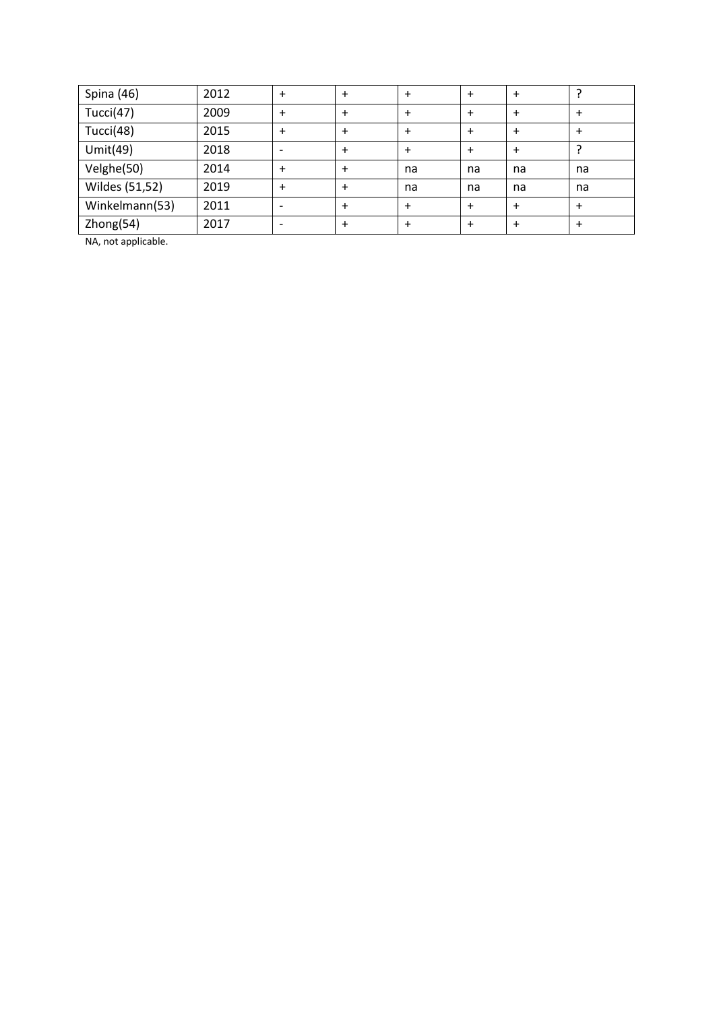| Spina (46)     | 2012 | + | $\ddot{}$ | $\ddot{}$ |    |    |           |
|----------------|------|---|-----------|-----------|----|----|-----------|
| Tucci $(47)$   | 2009 | + | $\ddot{}$ | $\ddot{}$ |    |    | $\ddot{}$ |
| Tucci(48)      | 2015 | + | $\ddot{}$ | $\ddot{}$ |    |    | $\ddot{}$ |
| Umit $(49)$    | 2018 |   | $\ddot{}$ | $\ddot{}$ |    |    |           |
| Velghe(50)     | 2014 | + | $\ddot{}$ | na        | na | na | na        |
| Wildes (51,52) | 2019 | + | $\ddot{}$ | na        | na | na | na        |
| Winkelmann(53) | 2011 |   | $\ddot{}$ | $\ddot{}$ |    |    | $\ddot{}$ |
| Zhong(54)      | 2017 |   | $\ddot{}$ | $\ddot{}$ |    |    |           |

NA, not applicable.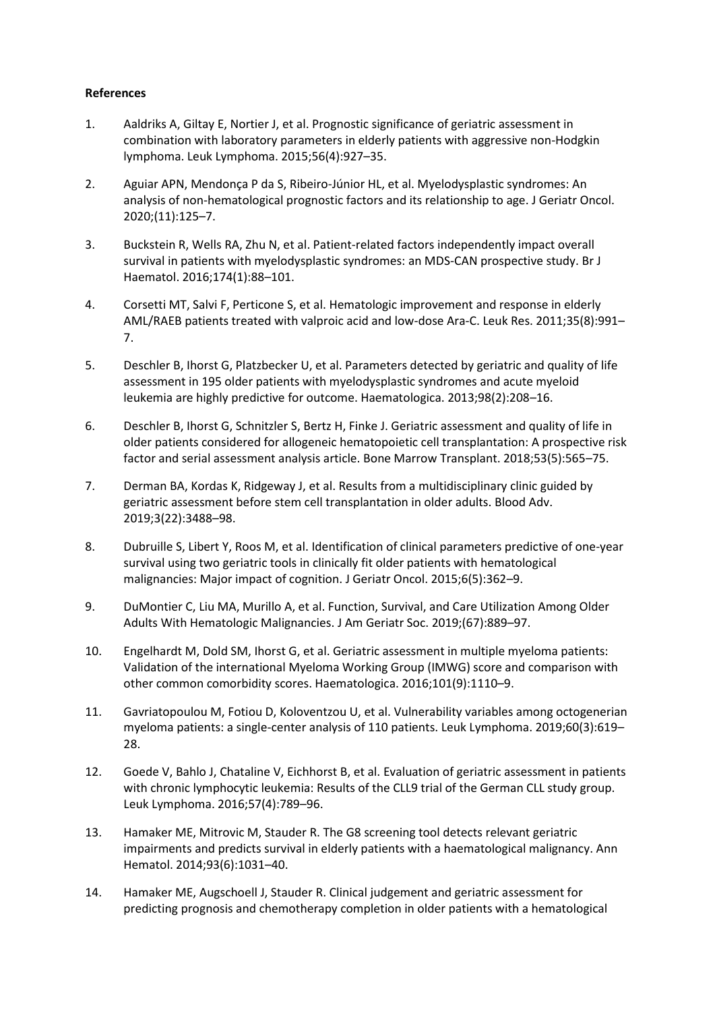### **References**

- 1. Aaldriks A, Giltay E, Nortier J, et al. Prognostic significance of geriatric assessment in combination with laboratory parameters in elderly patients with aggressive non-Hodgkin lymphoma. Leuk Lymphoma. 2015;56(4):927–35.
- 2. Aguiar APN, Mendonça P da S, Ribeiro-Júnior HL, et al. Myelodysplastic syndromes: An analysis of non-hematological prognostic factors and its relationship to age. J Geriatr Oncol. 2020;(11):125–7.
- 3. Buckstein R, Wells RA, Zhu N, et al. Patient-related factors independently impact overall survival in patients with myelodysplastic syndromes: an MDS-CAN prospective study. Br J Haematol. 2016;174(1):88–101.
- 4. Corsetti MT, Salvi F, Perticone S, et al. Hematologic improvement and response in elderly AML/RAEB patients treated with valproic acid and low-dose Ara-C. Leuk Res. 2011;35(8):991– 7.
- 5. Deschler B, Ihorst G, Platzbecker U, et al. Parameters detected by geriatric and quality of life assessment in 195 older patients with myelodysplastic syndromes and acute myeloid leukemia are highly predictive for outcome. Haematologica. 2013;98(2):208–16.
- 6. Deschler B, Ihorst G, Schnitzler S, Bertz H, Finke J. Geriatric assessment and quality of life in older patients considered for allogeneic hematopoietic cell transplantation: A prospective risk factor and serial assessment analysis article. Bone Marrow Transplant. 2018;53(5):565–75.
- 7. Derman BA, Kordas K, Ridgeway J, et al. Results from a multidisciplinary clinic guided by geriatric assessment before stem cell transplantation in older adults. Blood Adv. 2019;3(22):3488–98.
- 8. Dubruille S, Libert Y, Roos M, et al. Identification of clinical parameters predictive of one-year survival using two geriatric tools in clinically fit older patients with hematological malignancies: Major impact of cognition. J Geriatr Oncol. 2015;6(5):362–9.
- 9. DuMontier C, Liu MA, Murillo A, et al. Function, Survival, and Care Utilization Among Older Adults With Hematologic Malignancies. J Am Geriatr Soc. 2019;(67):889–97.
- 10. Engelhardt M, Dold SM, Ihorst G, et al. Geriatric assessment in multiple myeloma patients: Validation of the international Myeloma Working Group (IMWG) score and comparison with other common comorbidity scores. Haematologica. 2016;101(9):1110–9.
- 11. Gavriatopoulou M, Fotiou D, Koloventzou U, et al. Vulnerability variables among octogenerian myeloma patients: a single-center analysis of 110 patients. Leuk Lymphoma. 2019;60(3):619– 28.
- 12. Goede V, Bahlo J, Chataline V, Eichhorst B, et al. Evaluation of geriatric assessment in patients with chronic lymphocytic leukemia: Results of the CLL9 trial of the German CLL study group. Leuk Lymphoma. 2016;57(4):789–96.
- 13. Hamaker ME, Mitrovic M, Stauder R. The G8 screening tool detects relevant geriatric impairments and predicts survival in elderly patients with a haematological malignancy. Ann Hematol. 2014;93(6):1031–40.
- 14. Hamaker ME, Augschoell J, Stauder R. Clinical judgement and geriatric assessment for predicting prognosis and chemotherapy completion in older patients with a hematological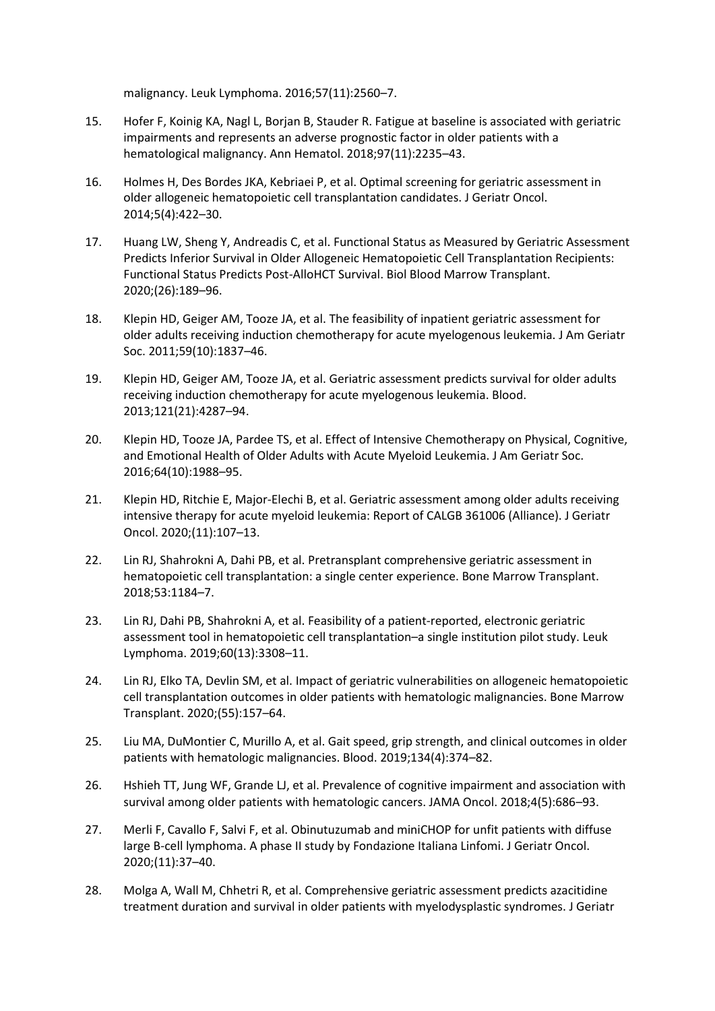malignancy. Leuk Lymphoma. 2016;57(11):2560–7.

- 15. Hofer F, Koinig KA, Nagl L, Borjan B, Stauder R. Fatigue at baseline is associated with geriatric impairments and represents an adverse prognostic factor in older patients with a hematological malignancy. Ann Hematol. 2018;97(11):2235–43.
- 16. Holmes H, Des Bordes JKA, Kebriaei P, et al. Optimal screening for geriatric assessment in older allogeneic hematopoietic cell transplantation candidates. J Geriatr Oncol. 2014;5(4):422–30.
- 17. Huang LW, Sheng Y, Andreadis C, et al. Functional Status as Measured by Geriatric Assessment Predicts Inferior Survival in Older Allogeneic Hematopoietic Cell Transplantation Recipients: Functional Status Predicts Post-AlloHCT Survival. Biol Blood Marrow Transplant. 2020;(26):189–96.
- 18. Klepin HD, Geiger AM, Tooze JA, et al. The feasibility of inpatient geriatric assessment for older adults receiving induction chemotherapy for acute myelogenous leukemia. J Am Geriatr Soc. 2011;59(10):1837–46.
- 19. Klepin HD, Geiger AM, Tooze JA, et al. Geriatric assessment predicts survival for older adults receiving induction chemotherapy for acute myelogenous leukemia. Blood. 2013;121(21):4287–94.
- 20. Klepin HD, Tooze JA, Pardee TS, et al. Effect of Intensive Chemotherapy on Physical, Cognitive, and Emotional Health of Older Adults with Acute Myeloid Leukemia. J Am Geriatr Soc. 2016;64(10):1988–95.
- 21. Klepin HD, Ritchie E, Major-Elechi B, et al. Geriatric assessment among older adults receiving intensive therapy for acute myeloid leukemia: Report of CALGB 361006 (Alliance). J Geriatr Oncol. 2020;(11):107–13.
- 22. Lin RJ, Shahrokni A, Dahi PB, et al. Pretransplant comprehensive geriatric assessment in hematopoietic cell transplantation: a single center experience. Bone Marrow Transplant. 2018;53:1184–7.
- 23. Lin RJ, Dahi PB, Shahrokni A, et al. Feasibility of a patient-reported, electronic geriatric assessment tool in hematopoietic cell transplantation–a single institution pilot study. Leuk Lymphoma. 2019;60(13):3308–11.
- 24. Lin RJ, Elko TA, Devlin SM, et al. Impact of geriatric vulnerabilities on allogeneic hematopoietic cell transplantation outcomes in older patients with hematologic malignancies. Bone Marrow Transplant. 2020;(55):157–64.
- 25. Liu MA, DuMontier C, Murillo A, et al. Gait speed, grip strength, and clinical outcomes in older patients with hematologic malignancies. Blood. 2019;134(4):374–82.
- 26. Hshieh TT, Jung WF, Grande LJ, et al. Prevalence of cognitive impairment and association with survival among older patients with hematologic cancers. JAMA Oncol. 2018;4(5):686–93.
- 27. Merli F, Cavallo F, Salvi F, et al. Obinutuzumab and miniCHOP for unfit patients with diffuse large B-cell lymphoma. A phase II study by Fondazione Italiana Linfomi. J Geriatr Oncol. 2020;(11):37–40.
- 28. Molga A, Wall M, Chhetri R, et al. Comprehensive geriatric assessment predicts azacitidine treatment duration and survival in older patients with myelodysplastic syndromes. J Geriatr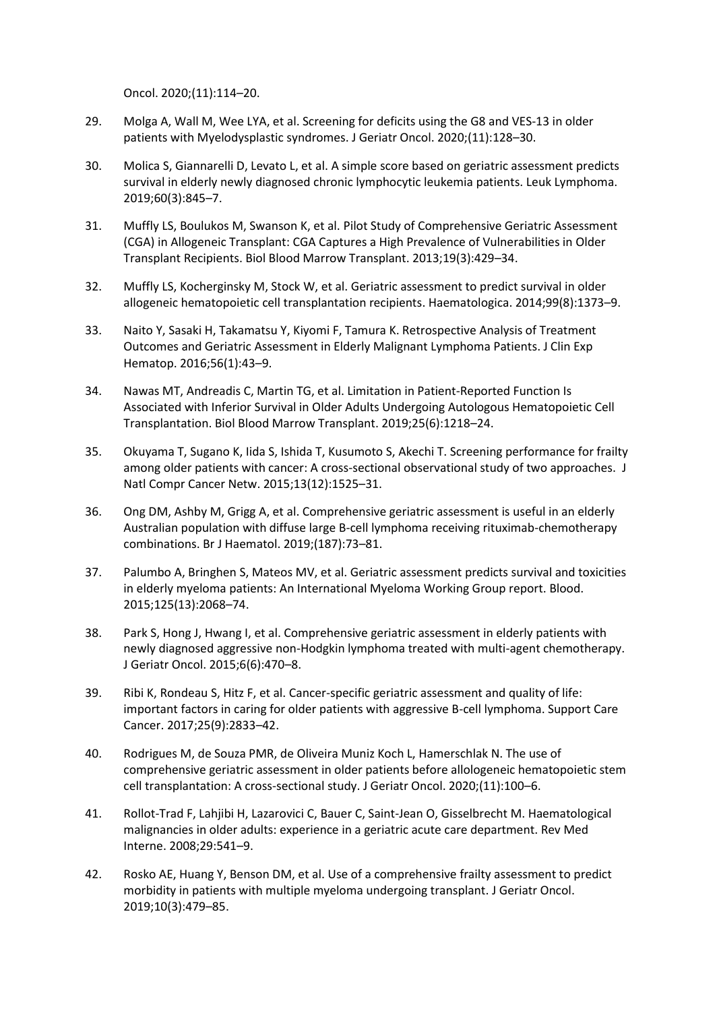Oncol. 2020;(11):114–20.

- 29. Molga A, Wall M, Wee LYA, et al. Screening for deficits using the G8 and VES-13 in older patients with Myelodysplastic syndromes. J Geriatr Oncol. 2020;(11):128–30.
- 30. Molica S, Giannarelli D, Levato L, et al. A simple score based on geriatric assessment predicts survival in elderly newly diagnosed chronic lymphocytic leukemia patients. Leuk Lymphoma. 2019;60(3):845–7.
- 31. Muffly LS, Boulukos M, Swanson K, et al. Pilot Study of Comprehensive Geriatric Assessment (CGA) in Allogeneic Transplant: CGA Captures a High Prevalence of Vulnerabilities in Older Transplant Recipients. Biol Blood Marrow Transplant. 2013;19(3):429–34.
- 32. Muffly LS, Kocherginsky M, Stock W, et al. Geriatric assessment to predict survival in older allogeneic hematopoietic cell transplantation recipients. Haematologica. 2014;99(8):1373–9.
- 33. Naito Y, Sasaki H, Takamatsu Y, Kiyomi F, Tamura K. Retrospective Analysis of Treatment Outcomes and Geriatric Assessment in Elderly Malignant Lymphoma Patients. J Clin Exp Hematop. 2016;56(1):43–9.
- 34. Nawas MT, Andreadis C, Martin TG, et al. Limitation in Patient-Reported Function Is Associated with Inferior Survival in Older Adults Undergoing Autologous Hematopoietic Cell Transplantation. Biol Blood Marrow Transplant. 2019;25(6):1218–24.
- 35. Okuyama T, Sugano K, Iida S, Ishida T, Kusumoto S, Akechi T. Screening performance for frailty among older patients with cancer: A cross-sectional observational study of two approaches. J Natl Compr Cancer Netw. 2015;13(12):1525–31.
- 36. Ong DM, Ashby M, Grigg A, et al. Comprehensive geriatric assessment is useful in an elderly Australian population with diffuse large B-cell lymphoma receiving rituximab-chemotherapy combinations. Br J Haematol. 2019;(187):73–81.
- 37. Palumbo A, Bringhen S, Mateos MV, et al. Geriatric assessment predicts survival and toxicities in elderly myeloma patients: An International Myeloma Working Group report. Blood. 2015;125(13):2068–74.
- 38. Park S, Hong J, Hwang I, et al. Comprehensive geriatric assessment in elderly patients with newly diagnosed aggressive non-Hodgkin lymphoma treated with multi-agent chemotherapy. J Geriatr Oncol. 2015;6(6):470–8.
- 39. Ribi K, Rondeau S, Hitz F, et al. Cancer-specific geriatric assessment and quality of life: important factors in caring for older patients with aggressive B-cell lymphoma. Support Care Cancer. 2017;25(9):2833–42.
- 40. Rodrigues M, de Souza PMR, de Oliveira Muniz Koch L, Hamerschlak N. The use of comprehensive geriatric assessment in older patients before allologeneic hematopoietic stem cell transplantation: A cross-sectional study. J Geriatr Oncol. 2020;(11):100–6.
- 41. Rollot-Trad F, Lahjibi H, Lazarovici C, Bauer C, Saint-Jean O, Gisselbrecht M. Haematological malignancies in older adults: experience in a geriatric acute care department. Rev Med Interne. 2008;29:541–9.
- 42. Rosko AE, Huang Y, Benson DM, et al. Use of a comprehensive frailty assessment to predict morbidity in patients with multiple myeloma undergoing transplant. J Geriatr Oncol. 2019;10(3):479–85.